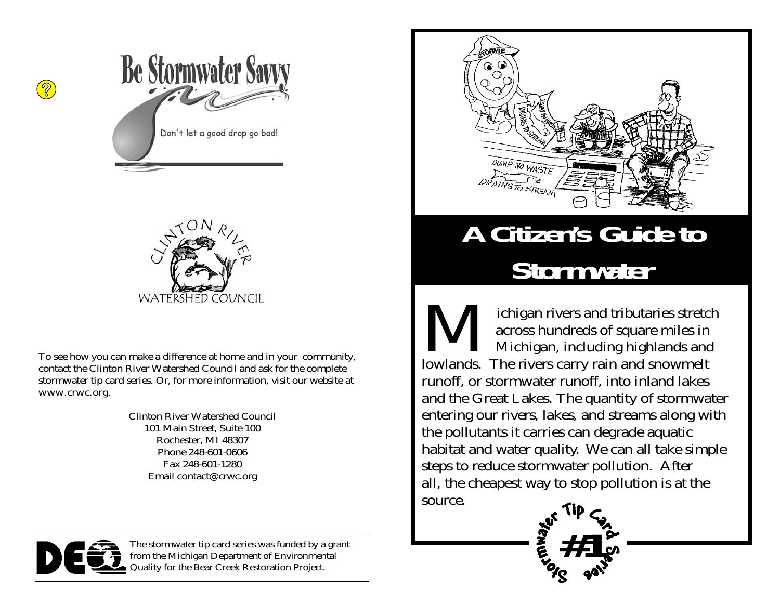



To see how you can make a difference at home and in your community, contact the Clinton River Watershed Council and ask for the complete stormwater tip card series. Or, for more information, visit our website at www.crwc.org.

> Clinton River Watershed Council 101 Main Street, Suite 100 Rochester, MI 48307 Phone 248-601-0606 Fax 248-601-1280 Email contact@crwc.org



# **A Citizen's Guide to Stormwater**

ichigan rivers and tributaries stretch<br>across hundreds of square miles in<br>Michigan, including highlands and lowlands. The rivers carry rain and snowmelt runoff, or stormwater runoff, into inland lakes and the Great Lakes. The quantity of stormwater entering our rivers, lakes, and streams along with the pollutants it carries can degrade aquatic habitat and water quality. We can all take simple steps to reduce stormwater pollution. After all, the cheapest way to stop pollution is at the source.

**#1**



The stormwater tip card series was funded by a grant from the Michigan Department of Environmental Quality for the Bear Creek Restoration Project.